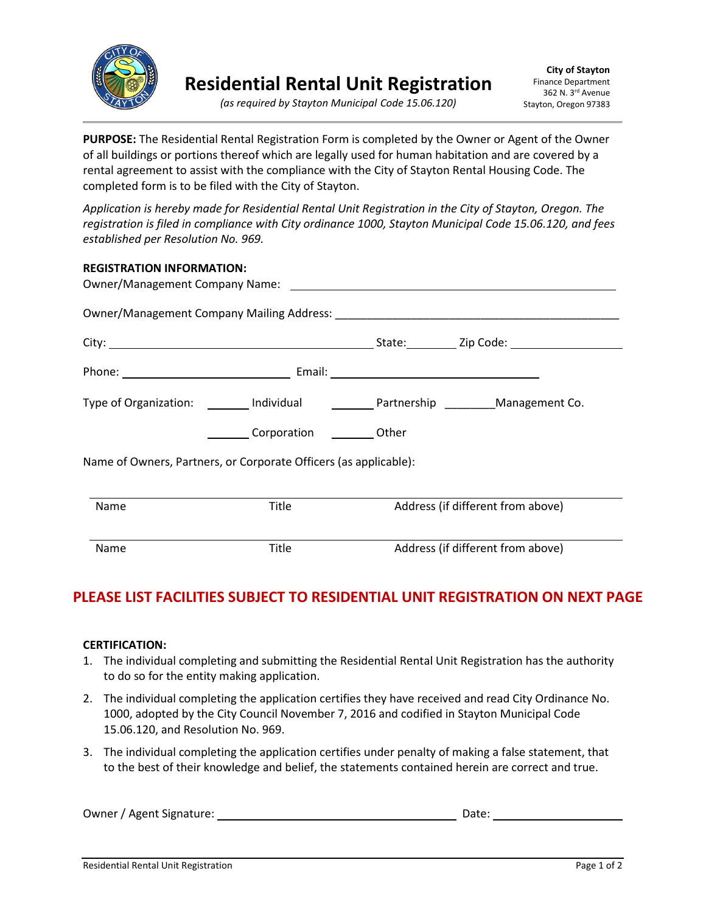

**PURPOSE:** The Residential Rental Registration Form is completed by the Owner or Agent of the Owner of all buildings or portions thereof which are legally used for human habitation and are covered by a rental agreement to assist with the compliance with the City of Stayton Rental Housing Code. The completed form is to be filed with the City of Stayton.

*Application is hereby made for Residential Rental Unit Registration in the City of Stayton, Oregon. The registration is filed in compliance with City ordinance 1000, Stayton Municipal Code 15.06.120, and fees established per Resolution No. 969.*

| <b>REGISTRATION INFORMATION:</b>                                 |                         |                                   |  |  |  |  |  |
|------------------------------------------------------------------|-------------------------|-----------------------------------|--|--|--|--|--|
|                                                                  |                         |                                   |  |  |  |  |  |
|                                                                  |                         |                                   |  |  |  |  |  |
|                                                                  |                         |                                   |  |  |  |  |  |
|                                                                  |                         |                                   |  |  |  |  |  |
|                                                                  | Corporation Corporation |                                   |  |  |  |  |  |
| Name of Owners, Partners, or Corporate Officers (as applicable): |                         |                                   |  |  |  |  |  |
| Name                                                             | Title                   | Address (if different from above) |  |  |  |  |  |
| Name                                                             | Title                   | Address (if different from above) |  |  |  |  |  |

## **PLEASE LIST FACILITIES SUBJECT TO RESIDENTIAL UNIT REGISTRATION ON NEXT PAGE**

## **CERTIFICATION:**

- 1. The individual completing and submitting the Residential Rental Unit Registration has the authority to do so for the entity making application.
- 2. The individual completing the application certifies they have received and read City Ordinance No. 1000, adopted by the City Council November 7, 2016 and codified in Stayton Municipal Code 15.06.120, and Resolution No. 969.
- 3. The individual completing the application certifies under penalty of making a false statement, that to the best of their knowledge and belief, the statements contained herein are correct and true.

| Owner / Agent Signature: | Date: |  |
|--------------------------|-------|--|
|                          |       |  |